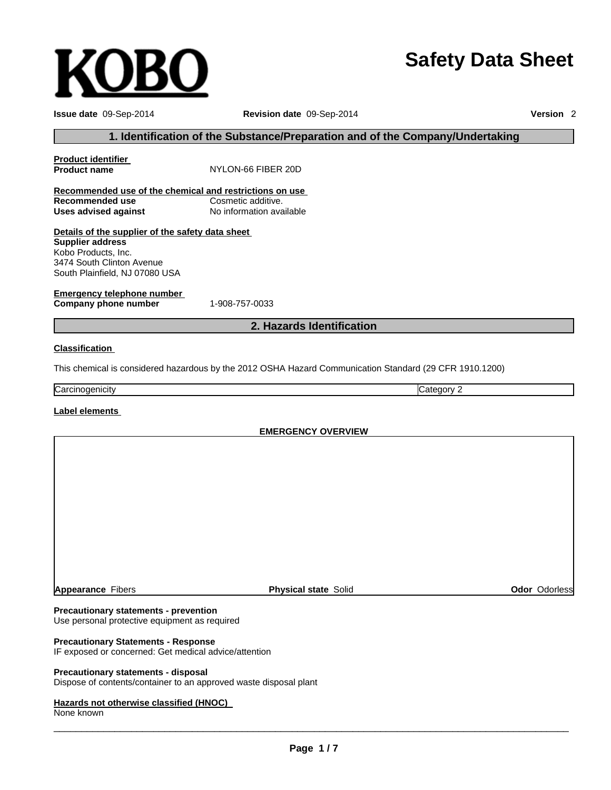# **Safety Data Sheet**

| Issue date 09-Sep-2014<br>Revision date 09-Sep-2014                                                           |                                                                                                         |            |                      |  |
|---------------------------------------------------------------------------------------------------------------|---------------------------------------------------------------------------------------------------------|------------|----------------------|--|
| 1. Identification of the Substance/Preparation and of the Company/Undertaking                                 |                                                                                                         |            |                      |  |
| <b>Product identifier</b><br><b>Product name</b>                                                              | NYLON-66 FIBER 20D                                                                                      |            |                      |  |
| Recommended use of the chemical and restrictions on use                                                       |                                                                                                         |            |                      |  |
| <b>Recommended use</b><br><b>Uses advised against</b>                                                         | Cosmetic additive.<br>No information available                                                          |            |                      |  |
| Details of the supplier of the safety data sheet                                                              |                                                                                                         |            |                      |  |
| <b>Supplier address</b><br>Kobo Products, Inc.<br>3474 South Clinton Avenue<br>South Plainfield, NJ 07080 USA |                                                                                                         |            |                      |  |
| <b>Emergency telephone number</b><br>Company phone number                                                     | 1-908-757-0033                                                                                          |            |                      |  |
|                                                                                                               | 2. Hazards Identification                                                                               |            |                      |  |
| <b>Classification</b>                                                                                         |                                                                                                         |            |                      |  |
|                                                                                                               | This chemical is considered hazardous by the 2012 OSHA Hazard Communication Standard (29 CFR 1910.1200) |            |                      |  |
| Carcinogenicity                                                                                               |                                                                                                         | Category 2 |                      |  |
| Label elements                                                                                                |                                                                                                         |            |                      |  |
|                                                                                                               | <b>EMERGENCY OVERVIEW</b>                                                                               |            |                      |  |
|                                                                                                               |                                                                                                         |            |                      |  |
|                                                                                                               |                                                                                                         |            |                      |  |
|                                                                                                               |                                                                                                         |            |                      |  |
|                                                                                                               |                                                                                                         |            |                      |  |
|                                                                                                               |                                                                                                         |            |                      |  |
|                                                                                                               |                                                                                                         |            |                      |  |
|                                                                                                               |                                                                                                         |            |                      |  |
|                                                                                                               |                                                                                                         |            |                      |  |
|                                                                                                               |                                                                                                         |            |                      |  |
| <b>Appearance Fibers</b>                                                                                      | <b>Physical state Solid</b>                                                                             |            | <b>Odor Odorless</b> |  |

# **Precautionary statements - prevention**

**KOBO** 

Use personal protective equipment as required

# **Precautionary Statements - Response**

IF exposed or concerned: Get medical advice/attention

# **Precautionary statements - disposal**

Dispose of contents/container to an approved waste disposal plant

#### **Hazards not otherwise classified (HNOC)**

None known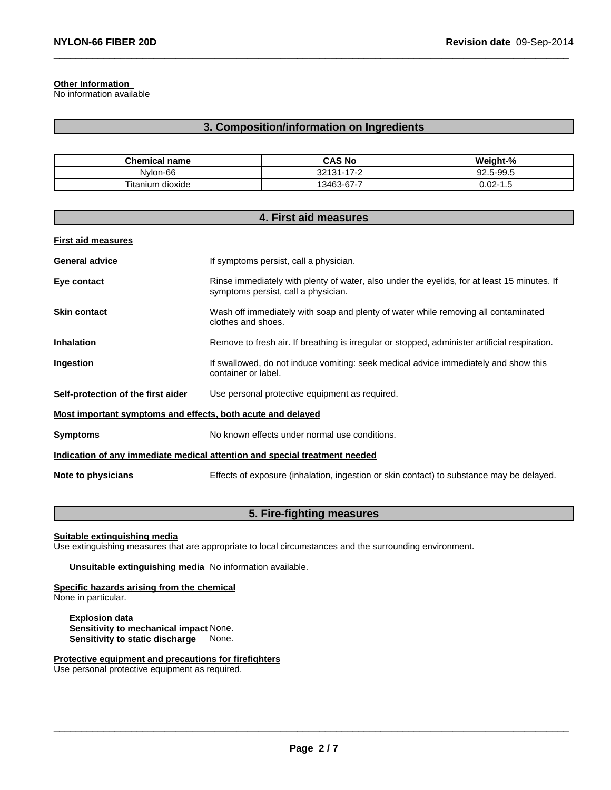# **Other Information**

No information available

# **3. Composition/information on Ingredients**

 $\_$  , and the set of the set of the set of the set of the set of the set of the set of the set of the set of the set of the set of the set of the set of the set of the set of the set of the set of the set of the set of th

| <b>Chemical name</b>      | CAS No                           | Weight-%             |
|---------------------------|----------------------------------|----------------------|
| Nylon-66                  | 170<br>$32131 -$<br>$1 - 2$<br>- | 92.5-99.5            |
| ÷.<br>dioxide<br>⊺itanium | 13463-67-7                       | 4-02. (<br>-<br>ں. ا |

| 4. First aid measures                                                      |                                                                                                                                    |  |  |
|----------------------------------------------------------------------------|------------------------------------------------------------------------------------------------------------------------------------|--|--|
| <b>First aid measures</b>                                                  |                                                                                                                                    |  |  |
| <b>General advice</b>                                                      | If symptoms persist, call a physician.                                                                                             |  |  |
| Eye contact                                                                | Rinse immediately with plenty of water, also under the eyelids, for at least 15 minutes. If<br>symptoms persist, call a physician. |  |  |
| <b>Skin contact</b>                                                        | Wash off immediately with soap and plenty of water while removing all contaminated<br>clothes and shoes.                           |  |  |
| <b>Inhalation</b>                                                          | Remove to fresh air. If breathing is irregular or stopped, administer artificial respiration.                                      |  |  |
| Ingestion                                                                  | If swallowed, do not induce vomiting: seek medical advice immediately and show this<br>container or label.                         |  |  |
| Self-protection of the first aider                                         | Use personal protective equipment as required.                                                                                     |  |  |
| Most important symptoms and effects, both acute and delayed                |                                                                                                                                    |  |  |
| <b>Symptoms</b>                                                            | No known effects under normal use conditions.                                                                                      |  |  |
| Indication of any immediate medical attention and special treatment needed |                                                                                                                                    |  |  |
| Note to physicians                                                         | Effects of exposure (inhalation, ingestion or skin contact) to substance may be delayed.                                           |  |  |

# **5. Fire-fighting measures**

**Suitable extinguishing media**

Use extinguishing measures that are appropriate to local circumstances and the surrounding environment.

**Unsuitable extinguishing media** No information available.

**Specific hazards arising from the chemical** None in particular.

**Explosion data Sensitivity to mechanical impact** None. **Sensitivity to static discharge** None.

**Protective equipment and precautions for firefighters**

Use personal protective equipment as required.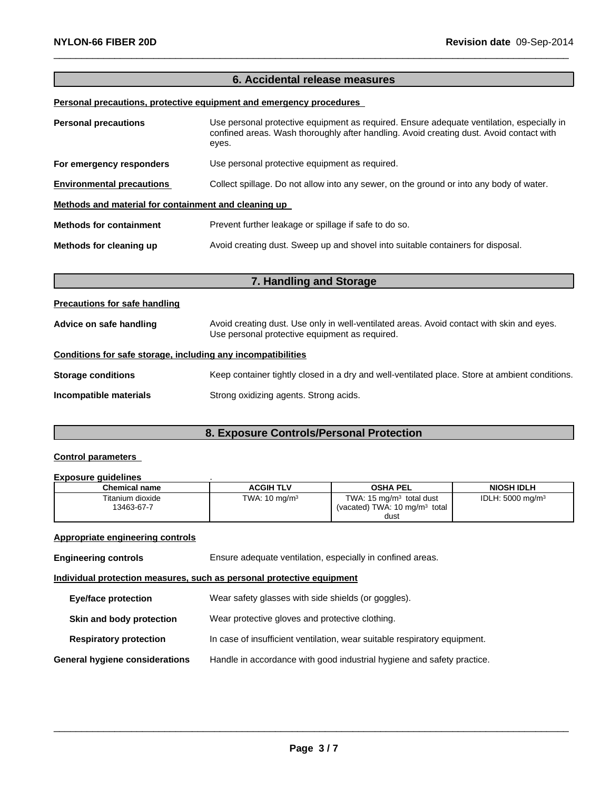# **6. Accidental release measures**

 $\_$  , and the set of the set of the set of the set of the set of the set of the set of the set of the set of the set of the set of the set of the set of the set of the set of the set of the set of the set of the set of th

# **Personal precautions, protective equipment and emergency procedures**

| <b>Personal precautions</b>                          | Use personal protective equipment as required. Ensure adequate ventilation, especially in<br>confined areas. Wash thoroughly after handling. Avoid creating dust. Avoid contact with<br>eyes. |  |  |
|------------------------------------------------------|-----------------------------------------------------------------------------------------------------------------------------------------------------------------------------------------------|--|--|
| For emergency responders                             | Use personal protective equipment as required.                                                                                                                                                |  |  |
| <b>Environmental precautions</b>                     | Collect spillage. Do not allow into any sewer, on the ground or into any body of water.                                                                                                       |  |  |
| Methods and material for containment and cleaning up |                                                                                                                                                                                               |  |  |
| <b>Methods for containment</b>                       | Prevent further leakage or spillage if safe to do so.                                                                                                                                         |  |  |
| Methods for cleaning up                              | Avoid creating dust. Sweep up and shovel into suitable containers for disposal.                                                                                                               |  |  |

# **7. Handling and Storage**

#### **Precautions for safe handling**

| Advice on safe handling                                      | Avoid creating dust. Use only in well-ventilated areas. Avoid contact with skin and eyes.<br>Use personal protective equipment as required. |  |  |  |
|--------------------------------------------------------------|---------------------------------------------------------------------------------------------------------------------------------------------|--|--|--|
| Conditions for safe storage, including any incompatibilities |                                                                                                                                             |  |  |  |
| <b>Storage conditions</b>                                    | Keep container tightly closed in a dry and well-ventilated place. Store at ambient conditions.                                              |  |  |  |
| Incompatible materials                                       | Strong oxidizing agents. Strong acids.                                                                                                      |  |  |  |

# **8. Exposure Controls/Personal Protection**

# **Control parameters**

#### **Exposure guidelines** .

| <b>ACGIH TLV</b>         | <b>OSHA PEL</b>                     | <b>NIOSH IDLH</b>                                |
|--------------------------|-------------------------------------|--------------------------------------------------|
| TWA: $10 \text{ mg/m}^3$ | TWA: $15 \text{ mg/m}^3$ total dust | IDLH: $5000 \text{ mg/m}^3$                      |
|                          |                                     |                                                  |
|                          |                                     | (vacated) TWA: $10 \text{ mg/m}^3$ total<br>dust |

# **Appropriate engineering controls**

**Engineering controls** Ensure adequate ventilation, especially in confined areas.

# **Individual protection measures, such as personal protective equipment**

| Eye/face protection            | Wear safety glasses with side shields (or goggles).                       |
|--------------------------------|---------------------------------------------------------------------------|
| Skin and body protection       | Wear protective gloves and protective clothing.                           |
| <b>Respiratory protection</b>  | In case of insufficient ventilation, wear suitable respiratory equipment. |
| General hygiene considerations | Handle in accordance with good industrial hygiene and safety practice.    |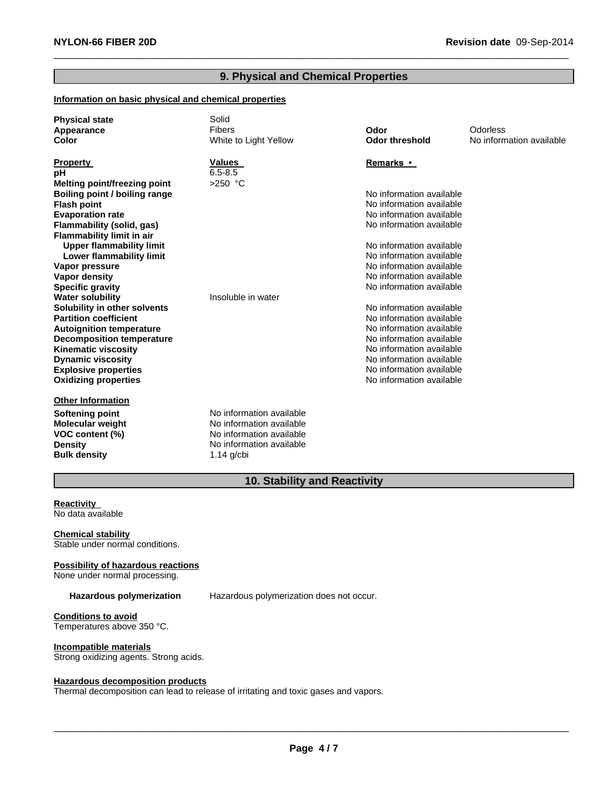# **9. Physical and Chemical Properties**

 $\_$  , and the set of the set of the set of the set of the set of the set of the set of the set of the set of the set of the set of the set of the set of the set of the set of the set of the set of the set of the set of th

# **Information on basic physical and chemical properties**

| <b>Physical state</b><br>Appearance<br>Color | Solid<br>Fibers<br>White to Light Yellow | Odor<br><b>Odor threshold</b>                        | Odorless<br>No information available |
|----------------------------------------------|------------------------------------------|------------------------------------------------------|--------------------------------------|
| <b>Property</b>                              | <b>Values</b>                            | Remarks •                                            |                                      |
| pH                                           | $6.5 - 8.5$                              |                                                      |                                      |
| Melting point/freezing point                 | $>250$ °C                                |                                                      |                                      |
| Boiling point / boiling range                |                                          | No information available                             |                                      |
| <b>Flash point</b>                           |                                          | No information available                             |                                      |
| <b>Evaporation rate</b>                      |                                          | No information available                             |                                      |
| Flammability (solid, gas)                    |                                          | No information available                             |                                      |
| <b>Flammability limit in air</b>             |                                          |                                                      |                                      |
| <b>Upper flammability limit</b>              |                                          | No information available<br>No information available |                                      |
| Lower flammability limit                     |                                          | No information available                             |                                      |
| Vapor pressure<br>Vapor density              |                                          | No information available                             |                                      |
| <b>Specific gravity</b>                      |                                          | No information available                             |                                      |
| <b>Water solubility</b>                      | Insoluble in water                       |                                                      |                                      |
| Solubility in other solvents                 |                                          | No information available                             |                                      |
| <b>Partition coefficient</b>                 |                                          | No information available                             |                                      |
| <b>Autoignition temperature</b>              |                                          | No information available                             |                                      |
| <b>Decomposition temperature</b>             |                                          | No information available                             |                                      |
| <b>Kinematic viscosity</b>                   |                                          | No information available                             |                                      |
| <b>Dynamic viscosity</b>                     |                                          | No information available                             |                                      |
| <b>Explosive properties</b>                  |                                          | No information available                             |                                      |
| <b>Oxidizing properties</b>                  |                                          | No information available                             |                                      |
| <b>Other Information</b>                     |                                          |                                                      |                                      |
| <b>Softening point</b>                       | No information available                 |                                                      |                                      |
| <b>Molecular weight</b>                      | No information available                 |                                                      |                                      |
| VOC content (%)                              | No information available                 |                                                      |                                      |
| <b>Density</b>                               | No information available                 |                                                      |                                      |
| <b>Bulk density</b>                          | $1.14$ g/cbi                             |                                                      |                                      |

# **10. Stability and Reactivity**

# **Reactivity**

No data available

**Chemical stability** Stable under normal conditions.

#### **Possibility of hazardous reactions**

None under normal processing.

**Hazardous polymerization** Hazardous polymerization does not occur.

**Conditions to avoid** Temperatures above 350 °C.

#### **Incompatible materials**

Strong oxidizing agents. Strong acids.

#### **Hazardous decomposition products**

Thermal decomposition can lead to release of irritating and toxic gases and vapors.

 $\_$  ,  $\_$  ,  $\_$  ,  $\_$  ,  $\_$  ,  $\_$  ,  $\_$  ,  $\_$  ,  $\_$  ,  $\_$  ,  $\_$  ,  $\_$  ,  $\_$  ,  $\_$  ,  $\_$  ,  $\_$  ,  $\_$  ,  $\_$  ,  $\_$  ,  $\_$  ,  $\_$  ,  $\_$  ,  $\_$  ,  $\_$  ,  $\_$  ,  $\_$  ,  $\_$  ,  $\_$  ,  $\_$  ,  $\_$  ,  $\_$  ,  $\_$  ,  $\_$  ,  $\_$  ,  $\_$  ,  $\_$  ,  $\_$  ,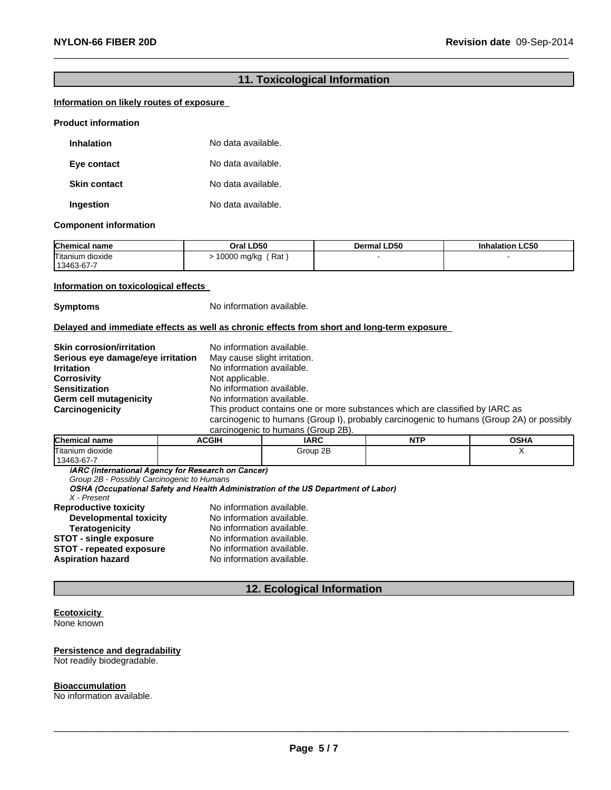# **11. Toxicological Information**

 $\_$  , and the set of the set of the set of the set of the set of the set of the set of the set of the set of the set of the set of the set of the set of the set of the set of the set of the set of the set of the set of th

#### **Information on likely routes of exposure**

#### **Product information**

| Inhalation          | No data available. |
|---------------------|--------------------|
| Eye contact         | No data available. |
| <b>Skin contact</b> | No data available. |
| Ingestion           | No data available. |

#### **Component information**

| <b>Chemical name</b>           | Oral LD50            | <b>Dermal LD50</b> | <b>Inhalation LC50</b> |
|--------------------------------|----------------------|--------------------|------------------------|
| Titanium dioxide<br>13463-67-7 | ' Rat<br>10000 mg/kg |                    |                        |

#### **Information on toxicological effects**

**Symptoms** No information available.

#### **Delayed and immediate effects as well as chronic effects from short and long-term exposure**

| <b>Skin corrosion/irritation</b>  | No information available.                                                                                                                                                |
|-----------------------------------|--------------------------------------------------------------------------------------------------------------------------------------------------------------------------|
| Serious eye damage/eye irritation | May cause slight irritation.                                                                                                                                             |
| <b>Irritation</b>                 | No information available.                                                                                                                                                |
| <b>Corrosivity</b>                | Not applicable.                                                                                                                                                          |
| <b>Sensitization</b>              | No information available.                                                                                                                                                |
| Germ cell mutagenicity            | No information available.                                                                                                                                                |
| Carcinogenicity                   | This product contains one or more substances which are classified by IARC as<br>carcinogenic to humans (Group I), probably carcinogenic to humans (Group 2A) or possibly |

carcinogenic to humans (Group 2B).

| <b>Chemical name</b> | <b>ACGIH</b> | <b>IARC</b> | <b>NTF</b> | OSHA |
|----------------------|--------------|-------------|------------|------|
| Titanium dioxide     |              | Group 2B    |            |      |
| 13463-67-7           |              |             |            |      |

*Group 2B - Possibly Carcinogenic to Humans*

*X - Present*

| <b>Reproductive toxicity</b>    | No information available. |
|---------------------------------|---------------------------|
| <b>Developmental toxicity</b>   | No information available. |
| <b>Teratogenicity</b>           | No information available. |
| <b>STOT - single exposure</b>   | No information available. |
| <b>STOT - repeated exposure</b> | No information available. |
| Aspiration hazard               | No information available. |
|                                 |                           |

# **12. Ecological Information**

# **Ecotoxicity**

None known

# **Persistence and degradability**

Not readily biodegradable.

# **Bioaccumulation**

No information available.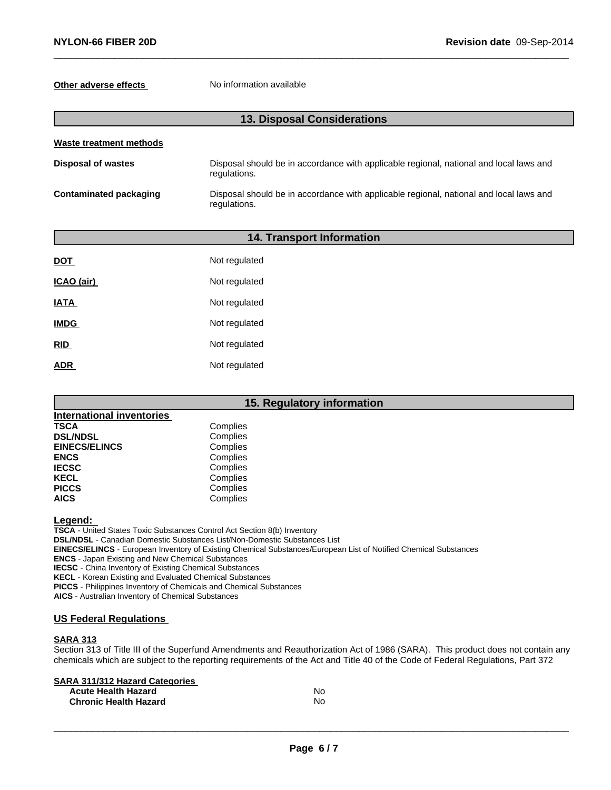# **Other adverse effects** No information available

# **13. Disposal Considerations**

 $\_$  , and the set of the set of the set of the set of the set of the set of the set of the set of the set of the set of the set of the set of the set of the set of the set of the set of the set of the set of the set of th

| Waste treatment methods |                                                                                                        |  |  |
|-------------------------|--------------------------------------------------------------------------------------------------------|--|--|
| Disposal of wastes      | Disposal should be in accordance with applicable regional, national and local laws and<br>regulations. |  |  |
| Contaminated packaging  | Disposal should be in accordance with applicable regional, national and local laws and<br>regulations. |  |  |

# **14. Transport Information**

| <b>DOT</b>  | Not regulated |
|-------------|---------------|
| ICAO (air)  | Not regulated |
| <b>IATA</b> | Not regulated |
| <b>IMDG</b> | Not regulated |
| <b>RID</b>  | Not regulated |
| ADR         | Not regulated |

# **15. Regulatory information**

| <b>International inventories</b> |          |
|----------------------------------|----------|
| <b>TSCA</b>                      | Complies |
| <b>DSL/NDSL</b>                  | Complies |
| <b>EINECS/ELINCS</b>             | Complies |
| <b>ENCS</b>                      | Complies |
| <b>IECSC</b>                     | Complies |
| <b>KECL</b>                      | Complies |
| <b>PICCS</b>                     | Complies |
| <b>AICS</b>                      | Complies |

**Legend:**

**TSCA** - United States Toxic Substances Control Act Section 8(b) Inventory **DSL/NDSL** - Canadian Domestic Substances List/Non-Domestic Substances List **EINECS/ELINCS** - European Inventory of Existing Chemical Substances/European List of Notified Chemical Substances **ENCS** - Japan Existing and New Chemical Substances **IECSC** - China Inventory of Existing Chemical Substances **KECL** - Korean Existing and Evaluated Chemical Substances **PICCS** - Philippines Inventory of Chemicals and Chemical Substances **AICS** - Australian Inventory of Chemical Substances

#### **US Federal Regulations**

#### **SARA 313**

Section 313 of Title III of the Superfund Amendments and Reauthorization Act of 1986 (SARA). This product does not contain any chemicals which are subject to the reporting requirements of the Act and Title 40 of the Code of Federal Regulations, Part 372

# **SARA 311/312 Hazard Categories**

| <b>Acute Health Hazard</b>   | No. |
|------------------------------|-----|
| <b>Chronic Health Hazard</b> | N٥  |